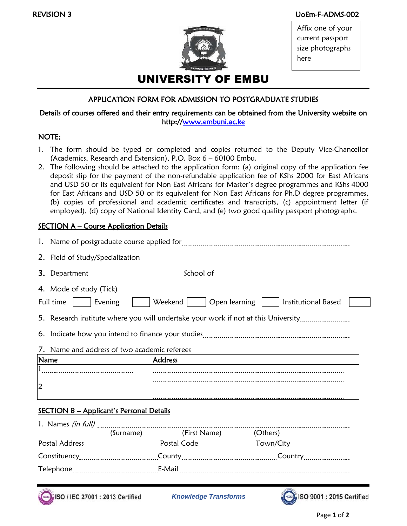#### REVISION 3 UoEm-F-ADMS-002



Affix one of your current passport size photographs here

# APPLICATION FORM FOR ADMISSION TO POSTGRADUATE STUDIES

### Details of courses offered and their entry requirements can be obtained from the University website on http:/[/www.embuni.ac.ke](http://www.embuni.ac.ke/)

#### NOTE;

- 1. The form should be typed or completed and copies returned to the Deputy Vice-Chancellor (Academics, Research and Extension), P.O. Box 6 – 60100 Embu.
- 2. The following should be attached to the application form; (a) original copy of the application fee deposit slip for the payment of the non-refundable application fee of KShs 2000 for East Africans and USD 50 or its equivalent for Non East Africans for Master's degree programmes and KShs 4000 for East Africans and USD 50 or its equivalent for Non East Africans for Ph.D degree programmes, (b) copies of professional and academic certificates and transcripts, (c) appointment letter (if employed), (d) copy of National Identity Card, and (e) two good quality passport photographs.

## **SECTION A – Course Application Details**

|                                                                                    | 4. Mode of study (Tick)<br>Full time    <br>Evening |  |                        | Weekend       Open learning       Institutional Based |  |  |  |
|------------------------------------------------------------------------------------|-----------------------------------------------------|--|------------------------|-------------------------------------------------------|--|--|--|
| 5. Research institute where you will undertake your work if not at this University |                                                     |  |                        |                                                       |  |  |  |
|                                                                                    |                                                     |  |                        |                                                       |  |  |  |
| 7. Name and address of two academic referees                                       |                                                     |  |                        |                                                       |  |  |  |
|                                                                                    | Name                                                |  | <b>Address</b>         |                                                       |  |  |  |
|                                                                                    |                                                     |  |                        |                                                       |  |  |  |
|                                                                                    |                                                     |  |                        |                                                       |  |  |  |
|                                                                                    |                                                     |  |                        |                                                       |  |  |  |
| <b>SECTION B - Applicant's Personal Details</b>                                    |                                                     |  |                        |                                                       |  |  |  |
|                                                                                    |                                                     |  |                        |                                                       |  |  |  |
|                                                                                    |                                                     |  | (Surname) (First Name) | (Others)                                              |  |  |  |
|                                                                                    |                                                     |  |                        |                                                       |  |  |  |
|                                                                                    |                                                     |  |                        |                                                       |  |  |  |

SO / IEC 27001 : 2013 Certified *Knowledge Transforms*

Telephone E-Mail